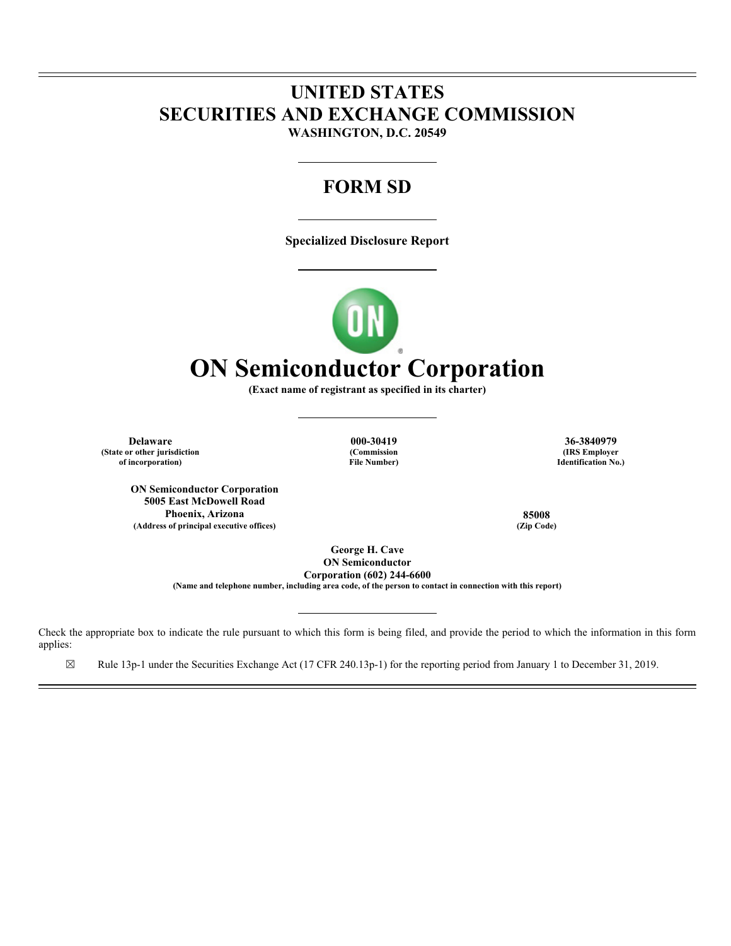## **UNITED STATES SECURITIES AND EXCHANGE COMMISSION WASHINGTON, D.C. 20549**

# **FORM SD**

**Specialized Disclosure Report** 



**(Exact name of registrant as specified in its charter)** 

**Delaware 000-30419 36-3840979 (State or other jurisdiction of incorporation)**

**ON Semiconductor Corporation 5005 East McDowell Road Phoenix, Arizona 85008** (Address of principal executive offices)

**(Commission File Number)**

**(IRS Employer Identification No.)**

**George H. Cave ON Semiconductor Corporation (602) 244-6600 (Name and telephone number, including area code, of the person to contact in connection with this report)** 

Check the appropriate box to indicate the rule pursuant to which this form is being filed, and provide the period to which the information in this form applies:

☒ Rule 13p-1 under the Securities Exchange Act (17 CFR 240.13p-1) for the reporting period from January 1 to December 31, 2019.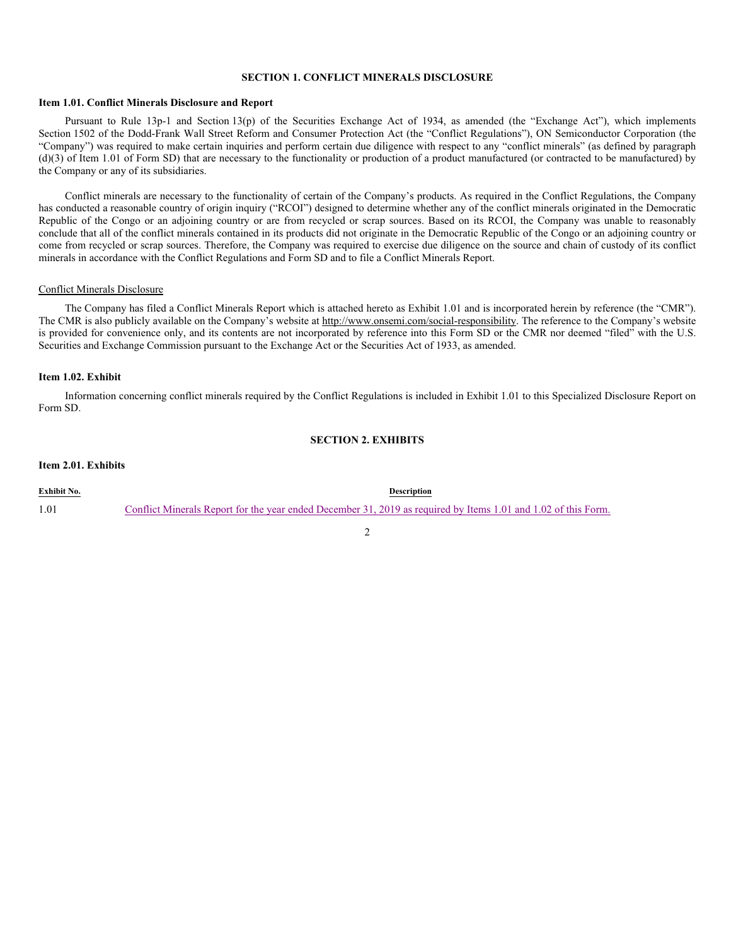#### **SECTION 1. CONFLICT MINERALS DISCLOSURE**

#### **Item 1.01. Conflict Minerals Disclosure and Report**

Pursuant to Rule 13p-1 and Section 13(p) of the Securities Exchange Act of 1934, as amended (the "Exchange Act"), which implements Section 1502 of the Dodd-Frank Wall Street Reform and Consumer Protection Act (the "Conflict Regulations"), ON Semiconductor Corporation (the "Company") was required to make certain inquiries and perform certain due diligence with respect to any "conflict minerals" (as defined by paragraph (d)(3) of Item 1.01 of Form SD) that are necessary to the functionality or production of a product manufactured (or contracted to be manufactured) by the Company or any of its subsidiaries.

Conflict minerals are necessary to the functionality of certain of the Company's products. As required in the Conflict Regulations, the Company has conducted a reasonable country of origin inquiry ("RCOI") designed to determine whether any of the conflict minerals originated in the Democratic Republic of the Congo or an adjoining country or are from recycled or scrap sources. Based on its RCOI, the Company was unable to reasonably conclude that all of the conflict minerals contained in its products did not originate in the Democratic Republic of the Congo or an adjoining country or come from recycled or scrap sources. Therefore, the Company was required to exercise due diligence on the source and chain of custody of its conflict minerals in accordance with the Conflict Regulations and Form SD and to file a Conflict Minerals Report.

#### Conflict Minerals Disclosure

The Company has filed a Conflict Minerals Report which is attached hereto as Exhibit 1.01 and is incorporated herein by reference (the "CMR"). The CMR is also publicly available on the Company's website at http://www.onsemi.com/social-responsibility. The reference to the Company's website is provided for convenience only, and its contents are not incorporated by reference into this Form SD or the CMR nor deemed "filed" with the U.S. Securities and Exchange Commission pursuant to the Exchange Act or the Securities Act of 1933, as amended.

#### **Item 1.02. Exhibit**

Information concerning conflict minerals required by the Conflict Regulations is included in Exhibit 1.01 to this Specialized Disclosure Report on Form SD.

## **SECTION 2. EXHIBITS**

#### **Item 2.01. Exhibits**

| Exhibit No. | <b>Description</b>                                                                                             |
|-------------|----------------------------------------------------------------------------------------------------------------|
| 1.01        | Conflict Minerals Report for the year ended December 31, 2019 as required by Items 1.01 and 1.02 of this Form. |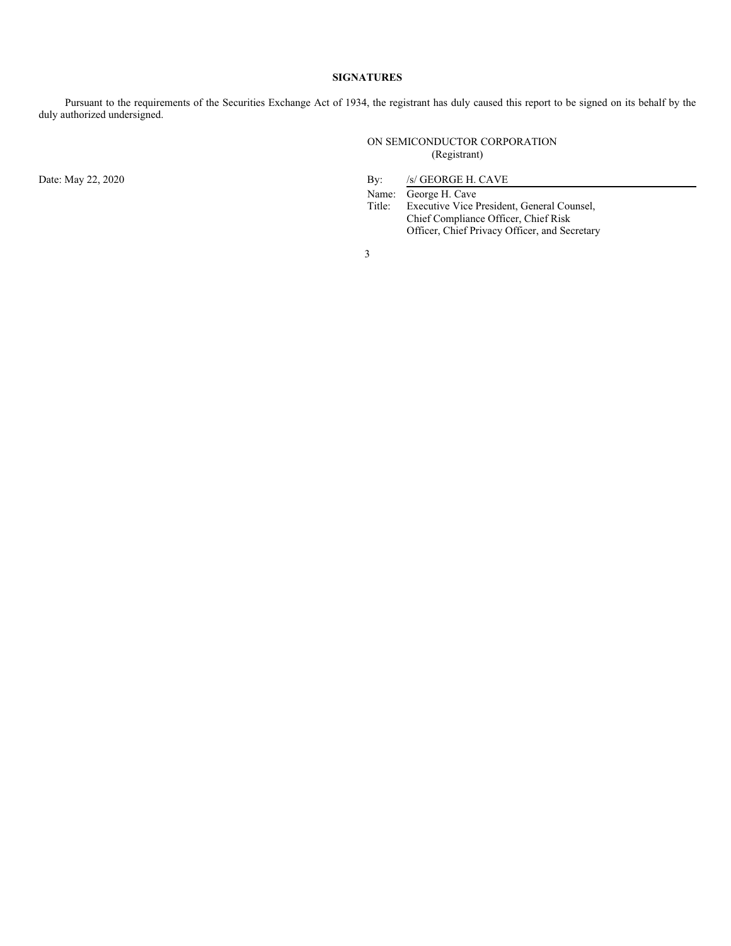### **SIGNATURES**

Pursuant to the requirements of the Securities Exchange Act of 1934, the registrant has duly caused this report to be signed on its behalf by the duly authorized undersigned.

> ON SEMICONDUCTOR CORPORATION (Registrant)

Date: May 22, 2020 By: /s/ GEORGE H. CAVE

Name: George H. Cave<br>Title: Executive Vice I Executive Vice President, General Counsel, Chief Compliance Officer, Chief Risk Officer, Chief Privacy Officer, and Secretary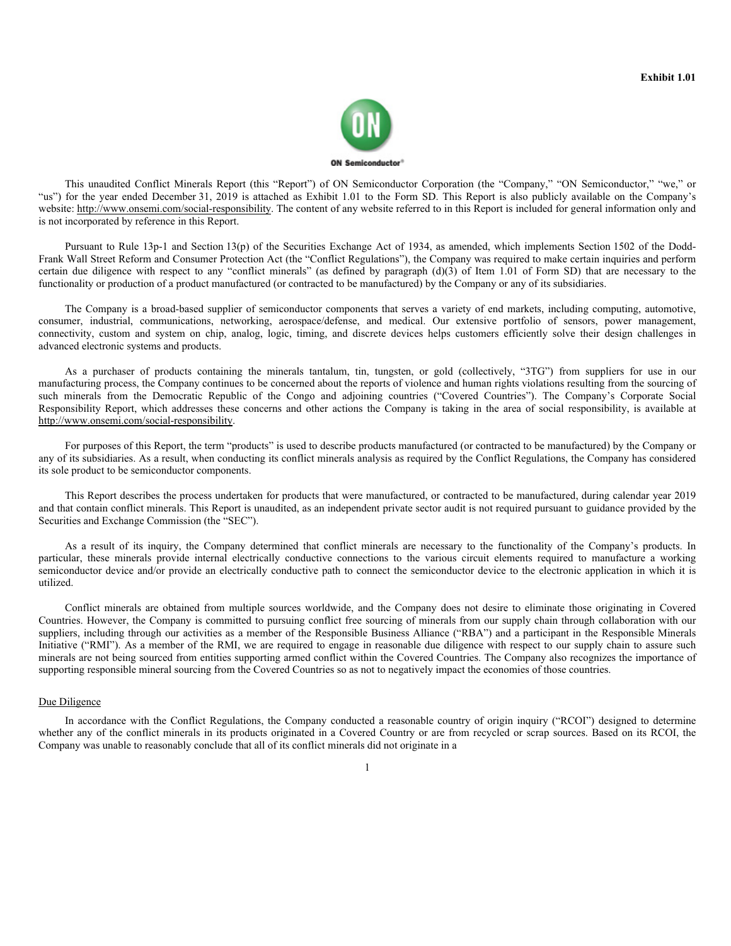

This unaudited Conflict Minerals Report (this "Report") of ON Semiconductor Corporation (the "Company," "ON Semiconductor," "we," or "us") for the year ended December 31, 2019 is attached as Exhibit 1.01 to the Form SD. This Report is also publicly available on the Company's website: http://www.onsemi.com/social-responsibility. The content of any website referred to in this Report is included for general information only and is not incorporated by reference in this Report.

Pursuant to Rule 13p-1 and Section 13(p) of the Securities Exchange Act of 1934, as amended, which implements Section 1502 of the Dodd-Frank Wall Street Reform and Consumer Protection Act (the "Conflict Regulations"), the Company was required to make certain inquiries and perform certain due diligence with respect to any "conflict minerals" (as defined by paragraph (d)(3) of Item 1.01 of Form SD) that are necessary to the functionality or production of a product manufactured (or contracted to be manufactured) by the Company or any of its subsidiaries.

The Company is a broad-based supplier of semiconductor components that serves a variety of end markets, including computing, automotive, consumer, industrial, communications, networking, aerospace/defense, and medical. Our extensive portfolio of sensors, power management, connectivity, custom and system on chip, analog, logic, timing, and discrete devices helps customers efficiently solve their design challenges in advanced electronic systems and products.

As a purchaser of products containing the minerals tantalum, tin, tungsten, or gold (collectively, "3TG") from suppliers for use in our manufacturing process, the Company continues to be concerned about the reports of violence and human rights violations resulting from the sourcing of such minerals from the Democratic Republic of the Congo and adjoining countries ("Covered Countries"). The Company's Corporate Social Responsibility Report, which addresses these concerns and other actions the Company is taking in the area of social responsibility, is available at http://www.onsemi.com/social-responsibility.

For purposes of this Report, the term "products" is used to describe products manufactured (or contracted to be manufactured) by the Company or any of its subsidiaries. As a result, when conducting its conflict minerals analysis as required by the Conflict Regulations, the Company has considered its sole product to be semiconductor components.

This Report describes the process undertaken for products that were manufactured, or contracted to be manufactured, during calendar year 2019 and that contain conflict minerals. This Report is unaudited, as an independent private sector audit is not required pursuant to guidance provided by the Securities and Exchange Commission (the "SEC").

As a result of its inquiry, the Company determined that conflict minerals are necessary to the functionality of the Company's products. In particular, these minerals provide internal electrically conductive connections to the various circuit elements required to manufacture a working semiconductor device and/or provide an electrically conductive path to connect the semiconductor device to the electronic application in which it is utilized.

Conflict minerals are obtained from multiple sources worldwide, and the Company does not desire to eliminate those originating in Covered Countries. However, the Company is committed to pursuing conflict free sourcing of minerals from our supply chain through collaboration with our suppliers, including through our activities as a member of the Responsible Business Alliance ("RBA") and a participant in the Responsible Minerals Initiative ("RMI"). As a member of the RMI, we are required to engage in reasonable due diligence with respect to our supply chain to assure such minerals are not being sourced from entities supporting armed conflict within the Covered Countries. The Company also recognizes the importance of supporting responsible mineral sourcing from the Covered Countries so as not to negatively impact the economies of those countries.

#### Due Diligence

In accordance with the Conflict Regulations, the Company conducted a reasonable country of origin inquiry ("RCOI") designed to determine whether any of the conflict minerals in its products originated in a Covered Country or are from recycled or scrap sources. Based on its RCOI, the Company was unable to reasonably conclude that all of its conflict minerals did not originate in a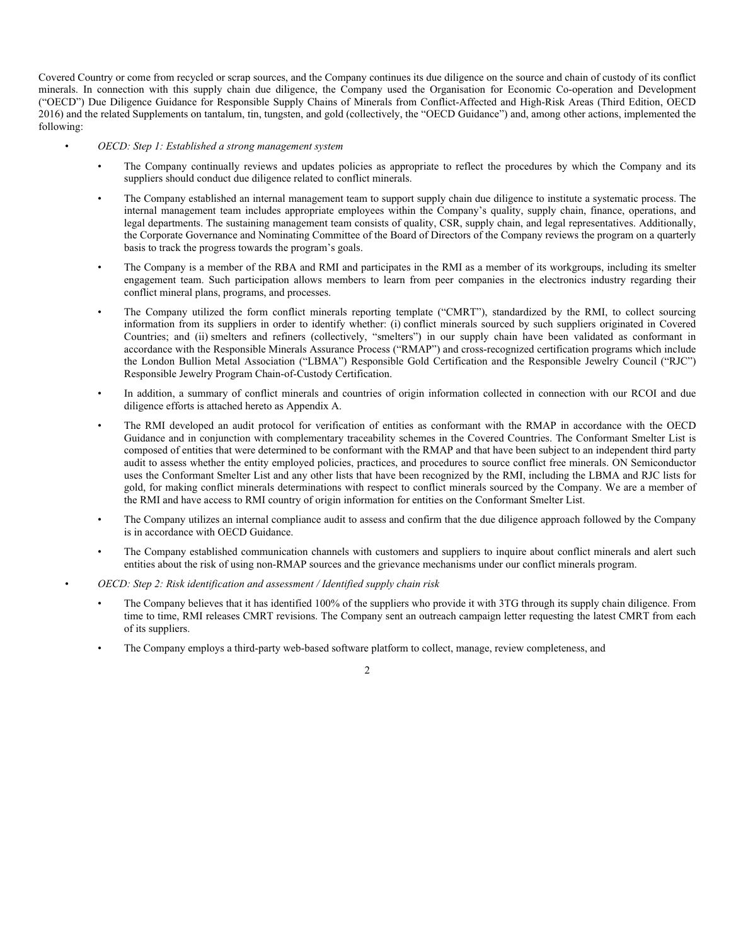Covered Country or come from recycled or scrap sources, and the Company continues its due diligence on the source and chain of custody of its conflict minerals. In connection with this supply chain due diligence, the Company used the Organisation for Economic Co-operation and Development ("OECD") Due Diligence Guidance for Responsible Supply Chains of Minerals from Conflict-Affected and High-Risk Areas (Third Edition, OECD 2016) and the related Supplements on tantalum, tin, tungsten, and gold (collectively, the "OECD Guidance") and, among other actions, implemented the following:

- *OECD: Step 1: Established a strong management system*
	- The Company continually reviews and updates policies as appropriate to reflect the procedures by which the Company and its suppliers should conduct due diligence related to conflict minerals.
	- The Company established an internal management team to support supply chain due diligence to institute a systematic process. The internal management team includes appropriate employees within the Company's quality, supply chain, finance, operations, and legal departments. The sustaining management team consists of quality, CSR, supply chain, and legal representatives. Additionally, the Corporate Governance and Nominating Committee of the Board of Directors of the Company reviews the program on a quarterly basis to track the progress towards the program's goals.
	- The Company is a member of the RBA and RMI and participates in the RMI as a member of its workgroups, including its smelter engagement team. Such participation allows members to learn from peer companies in the electronics industry regarding their conflict mineral plans, programs, and processes.
	- The Company utilized the form conflict minerals reporting template ("CMRT"), standardized by the RMI, to collect sourcing information from its suppliers in order to identify whether: (i) conflict minerals sourced by such suppliers originated in Covered Countries; and (ii) smelters and refiners (collectively, "smelters") in our supply chain have been validated as conformant in accordance with the Responsible Minerals Assurance Process ("RMAP") and cross-recognized certification programs which include the London Bullion Metal Association ("LBMA") Responsible Gold Certification and the Responsible Jewelry Council ("RJC") Responsible Jewelry Program Chain-of-Custody Certification.
	- In addition, a summary of conflict minerals and countries of origin information collected in connection with our RCOI and due diligence efforts is attached hereto as Appendix A.
	- The RMI developed an audit protocol for verification of entities as conformant with the RMAP in accordance with the OECD Guidance and in conjunction with complementary traceability schemes in the Covered Countries. The Conformant Smelter List is composed of entities that were determined to be conformant with the RMAP and that have been subject to an independent third party audit to assess whether the entity employed policies, practices, and procedures to source conflict free minerals. ON Semiconductor uses the Conformant Smelter List and any other lists that have been recognized by the RMI, including the LBMA and RJC lists for gold, for making conflict minerals determinations with respect to conflict minerals sourced by the Company. We are a member of the RMI and have access to RMI country of origin information for entities on the Conformant Smelter List.
	- The Company utilizes an internal compliance audit to assess and confirm that the due diligence approach followed by the Company is in accordance with OECD Guidance.
	- The Company established communication channels with customers and suppliers to inquire about conflict minerals and alert such entities about the risk of using non-RMAP sources and the grievance mechanisms under our conflict minerals program.
	- *OECD: Step 2: Risk identification and assessment / Identified supply chain risk*
	- The Company believes that it has identified 100% of the suppliers who provide it with 3TG through its supply chain diligence. From time to time, RMI releases CMRT revisions. The Company sent an outreach campaign letter requesting the latest CMRT from each of its suppliers.
	- The Company employs a third-party web-based software platform to collect, manage, review completeness, and

 $\mathcal{L}$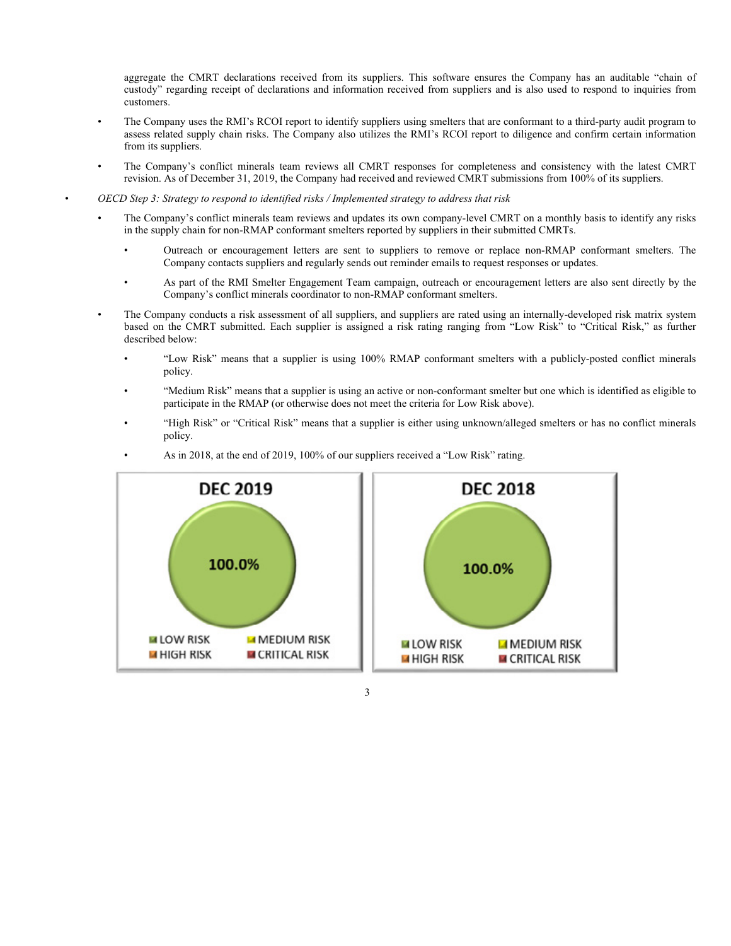aggregate the CMRT declarations received from its suppliers. This software ensures the Company has an auditable "chain of custody" regarding receipt of declarations and information received from suppliers and is also used to respond to inquiries from customers.

- The Company uses the RMI's RCOI report to identify suppliers using smelters that are conformant to a third-party audit program to assess related supply chain risks. The Company also utilizes the RMI's RCOI report to diligence and confirm certain information from its suppliers.
- The Company's conflict minerals team reviews all CMRT responses for completeness and consistency with the latest CMRT revision. As of December 31, 2019, the Company had received and reviewed CMRT submissions from 100% of its suppliers.
- *OECD Step 3: Strategy to respond to identified risks / Implemented strategy to address that risk*
	- The Company's conflict minerals team reviews and updates its own company-level CMRT on a monthly basis to identify any risks in the supply chain for non-RMAP conformant smelters reported by suppliers in their submitted CMRTs.
		- Outreach or encouragement letters are sent to suppliers to remove or replace non-RMAP conformant smelters. The Company contacts suppliers and regularly sends out reminder emails to request responses or updates.
		- As part of the RMI Smelter Engagement Team campaign, outreach or encouragement letters are also sent directly by the Company's conflict minerals coordinator to non-RMAP conformant smelters.
	- The Company conducts a risk assessment of all suppliers, and suppliers are rated using an internally-developed risk matrix system based on the CMRT submitted. Each supplier is assigned a risk rating ranging from "Low Risk" to "Critical Risk," as further described below:
		- "Low Risk" means that a supplier is using 100% RMAP conformant smelters with a publicly-posted conflict minerals policy.
		- "Medium Risk" means that a supplier is using an active or non-conformant smelter but one which is identified as eligible to participate in the RMAP (or otherwise does not meet the criteria for Low Risk above).
		- "High Risk" or "Critical Risk" means that a supplier is either using unknown/alleged smelters or has no conflict minerals policy.



• As in 2018, at the end of 2019, 100% of our suppliers received a "Low Risk" rating.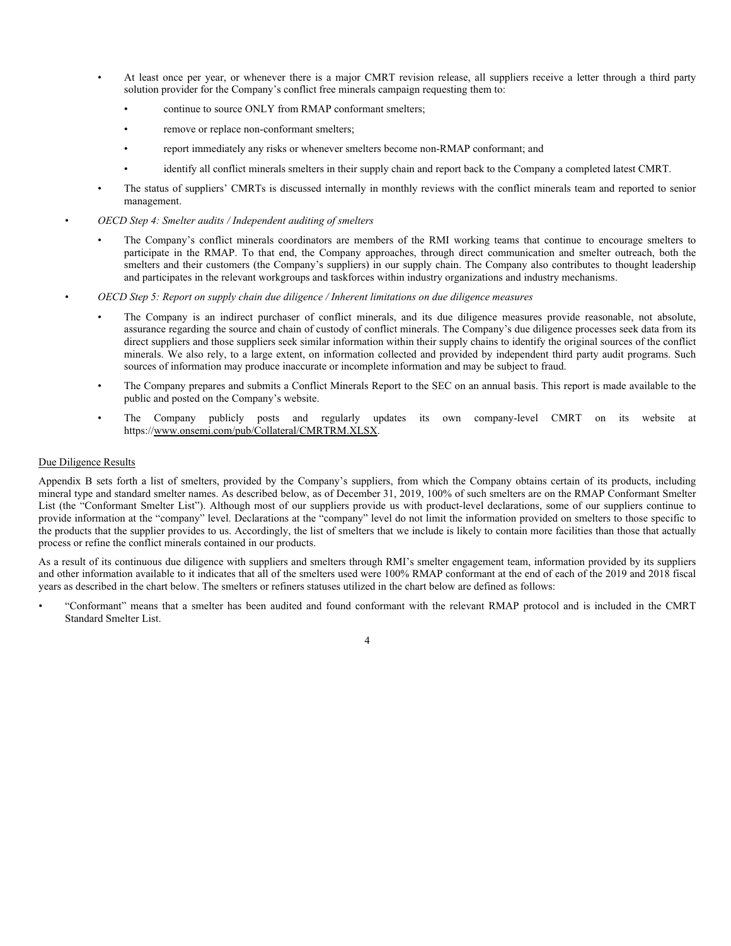- At least once per year, or whenever there is a major CMRT revision release, all suppliers receive a letter through a third party solution provider for the Company's conflict free minerals campaign requesting them to:
	- continue to source ONLY from RMAP conformant smelters;
	- remove or replace non-conformant smelters;
	- report immediately any risks or whenever smelters become non-RMAP conformant; and
	- identify all conflict minerals smelters in their supply chain and report back to the Company a completed latest CMRT.
- The status of suppliers' CMRTs is discussed internally in monthly reviews with the conflict minerals team and reported to senior management.
- *OECD Step 4: Smelter audits / Independent auditing of smelters*
	- The Company's conflict minerals coordinators are members of the RMI working teams that continue to encourage smelters to participate in the RMAP. To that end, the Company approaches, through direct communication and smelter outreach, both the smelters and their customers (the Company's suppliers) in our supply chain. The Company also contributes to thought leadership and participates in the relevant workgroups and taskforces within industry organizations and industry mechanisms.
- *OECD Step 5: Report on supply chain due diligence / Inherent limitations on due diligence measures*
	- The Company is an indirect purchaser of conflict minerals, and its due diligence measures provide reasonable, not absolute, assurance regarding the source and chain of custody of conflict minerals. The Company's due diligence processes seek data from its direct suppliers and those suppliers seek similar information within their supply chains to identify the original sources of the conflict minerals. We also rely, to a large extent, on information collected and provided by independent third party audit programs. Such sources of information may produce inaccurate or incomplete information and may be subject to fraud.
	- The Company prepares and submits a Conflict Minerals Report to the SEC on an annual basis. This report is made available to the public and posted on the Company's website.
	- The Company publicly posts and regularly updates its own company-level CMRT on its website at https://www.onsemi.com/pub/Collateral/CMRTRM.XLSX.

#### Due Diligence Results

Appendix B sets forth a list of smelters, provided by the Company's suppliers, from which the Company obtains certain of its products, including mineral type and standard smelter names. As described below, as of December 31, 2019, 100% of such smelters are on the RMAP Conformant Smelter List (the "Conformant Smelter List"). Although most of our suppliers provide us with product-level declarations, some of our suppliers continue to provide information at the "company" level. Declarations at the "company" level do not limit the information provided on smelters to those specific to the products that the supplier provides to us. Accordingly, the list of smelters that we include is likely to contain more facilities than those that actually process or refine the conflict minerals contained in our products.

As a result of its continuous due diligence with suppliers and smelters through RMI's smelter engagement team, information provided by its suppliers and other information available to it indicates that all of the smelters used were 100% RMAP conformant at the end of each of the 2019 and 2018 fiscal years as described in the chart below. The smelters or refiners statuses utilized in the chart below are defined as follows:

• "Conformant" means that a smelter has been audited and found conformant with the relevant RMAP protocol and is included in the CMRT Standard Smelter List.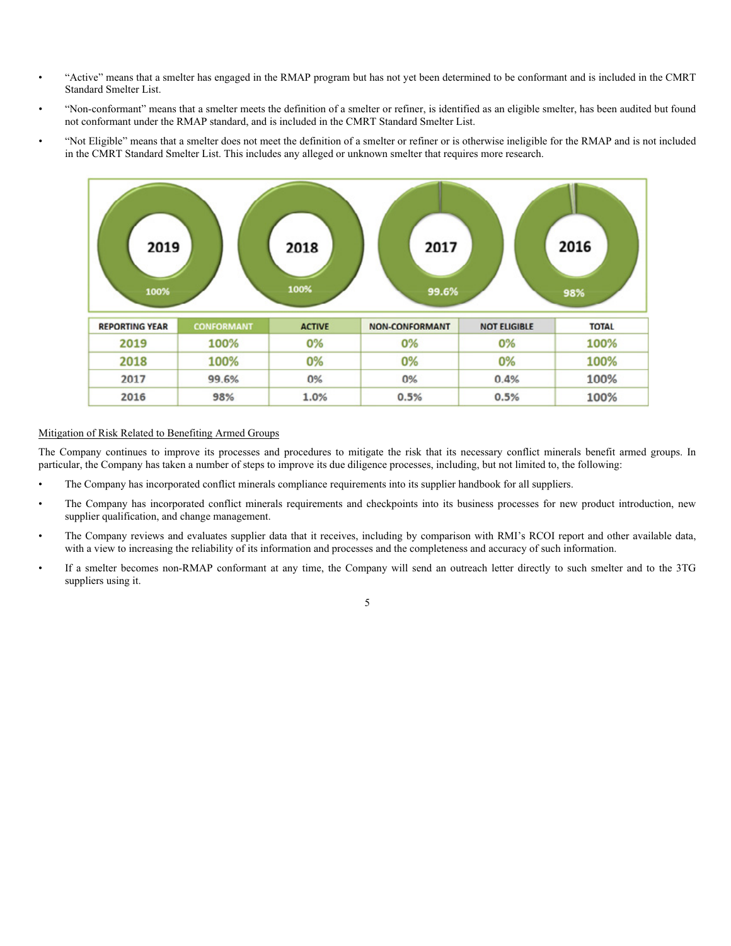- "Active" means that a smelter has engaged in the RMAP program but has not yet been determined to be conformant and is included in the CMRT Standard Smelter List.
- "Non-conformant" means that a smelter meets the definition of a smelter or refiner, is identified as an eligible smelter, has been audited but found not conformant under the RMAP standard, and is included in the CMRT Standard Smelter List.
- "Not Eligible" means that a smelter does not meet the definition of a smelter or refiner or is otherwise ineligible for the RMAP and is not included in the CMRT Standard Smelter List. This includes any alleged or unknown smelter that requires more research.



## Mitigation of Risk Related to Benefiting Armed Groups

The Company continues to improve its processes and procedures to mitigate the risk that its necessary conflict minerals benefit armed groups. In particular, the Company has taken a number of steps to improve its due diligence processes, including, but not limited to, the following:

- The Company has incorporated conflict minerals compliance requirements into its supplier handbook for all suppliers.
- The Company has incorporated conflict minerals requirements and checkpoints into its business processes for new product introduction, new supplier qualification, and change management.
- The Company reviews and evaluates supplier data that it receives, including by comparison with RMI's RCOI report and other available data, with a view to increasing the reliability of its information and processes and the completeness and accuracy of such information.
- If a smelter becomes non-RMAP conformant at any time, the Company will send an outreach letter directly to such smelter and to the 3TG suppliers using it.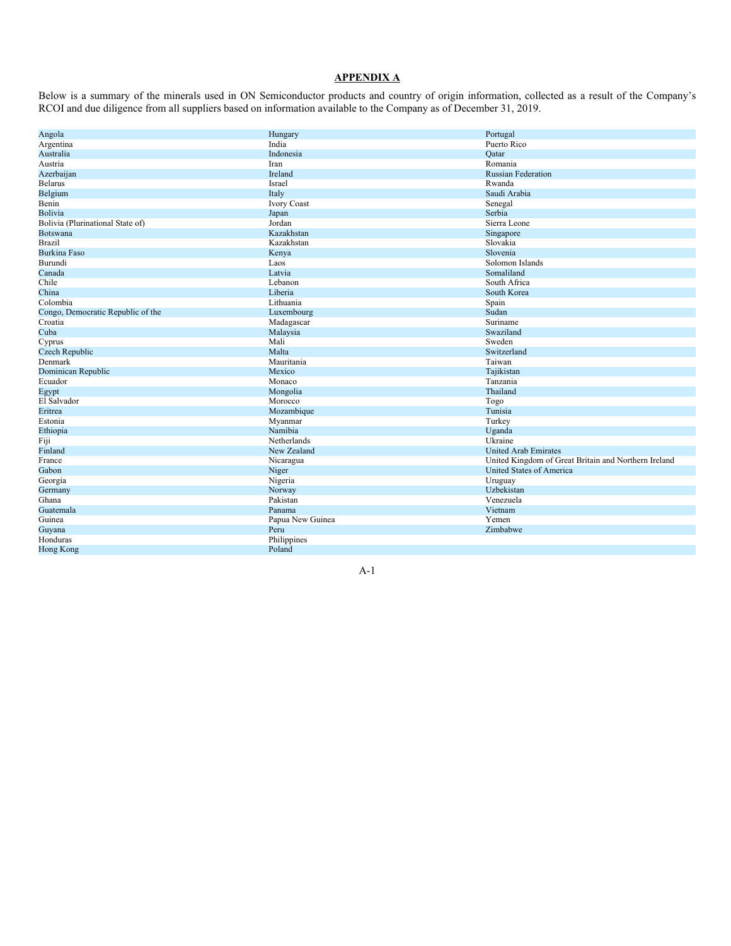## **APPENDIX A**

Below is a summary of the minerals used in ON Semiconductor products and country of origin information, collected as a result of the Company's RCOI and due diligence from all suppliers based on information available to the Company as of December 31, 2019.

| Angola                            | Hungary          | Portugal                                             |
|-----------------------------------|------------------|------------------------------------------------------|
| Argentina                         | India            | Puerto Rico                                          |
| Australia                         | Indonesia        | Oatar                                                |
| Austria                           | Iran             | Romania                                              |
| Azerbaijan                        | Ireland          | <b>Russian Federation</b>                            |
| <b>Belarus</b>                    | Israel           | Rwanda                                               |
| Belgium                           | Italy            | Saudi Arabia                                         |
| Benin                             | Ivory Coast      | Senegal                                              |
| Bolivia                           | Japan            | Serbia                                               |
| Bolivia (Plurinational State of)  | Jordan           | Sierra Leone                                         |
| <b>Botswana</b>                   | Kazakhstan       | Singapore                                            |
| <b>Brazil</b>                     | Kazakhstan       | Slovakia                                             |
| <b>Burkina Faso</b>               | Kenya            | Slovenia                                             |
| Burundi                           | Laos             | Solomon Islands                                      |
| Canada                            | Latvia           | Somaliland                                           |
| Chile                             | Lebanon          | South Africa                                         |
| China                             | Liberia          | South Korea                                          |
| Colombia                          | Lithuania        | Spain                                                |
| Congo, Democratic Republic of the | Luxembourg       | Sudan                                                |
| Croatia                           | Madagascar       | Suriname                                             |
| Cuba                              | Malaysia         | Swaziland                                            |
| Cyprus                            | Mali             | Sweden                                               |
| Czech Republic                    | Malta            | Switzerland                                          |
| Denmark                           | Mauritania       | Taiwan                                               |
| Dominican Republic                | Mexico           | Tajikistan                                           |
| Ecuador                           | Monaco           | Tanzania                                             |
| Egypt                             | Mongolia         | Thailand                                             |
| El Salvador                       | Morocco          | Togo                                                 |
| Eritrea                           | Mozambique       | Tunisia                                              |
| Estonia                           | Myanmar          | Turkey                                               |
| Ethiopia                          | Namibia          | Uganda                                               |
| Fiji                              | Netherlands      | Ukraine                                              |
| Finland                           | New Zealand      | <b>United Arab Emirates</b>                          |
| France                            | Nicaragua        | United Kingdom of Great Britain and Northern Ireland |
| Gabon                             | Niger            | United States of America                             |
| Georgia                           | Nigeria          | Uruguay                                              |
| Germany                           | Norway           | Uzbekistan                                           |
| Ghana                             | Pakistan         | Venezuela                                            |
| Guatemala                         | Panama           | Vietnam                                              |
| Guinea                            | Papua New Guinea | Yemen                                                |
| Guyana                            | Peru             | Zimbabwe                                             |
| Honduras                          | Philippines      |                                                      |
| <b>Hong Kong</b>                  | Poland           |                                                      |
|                                   |                  |                                                      |

A-1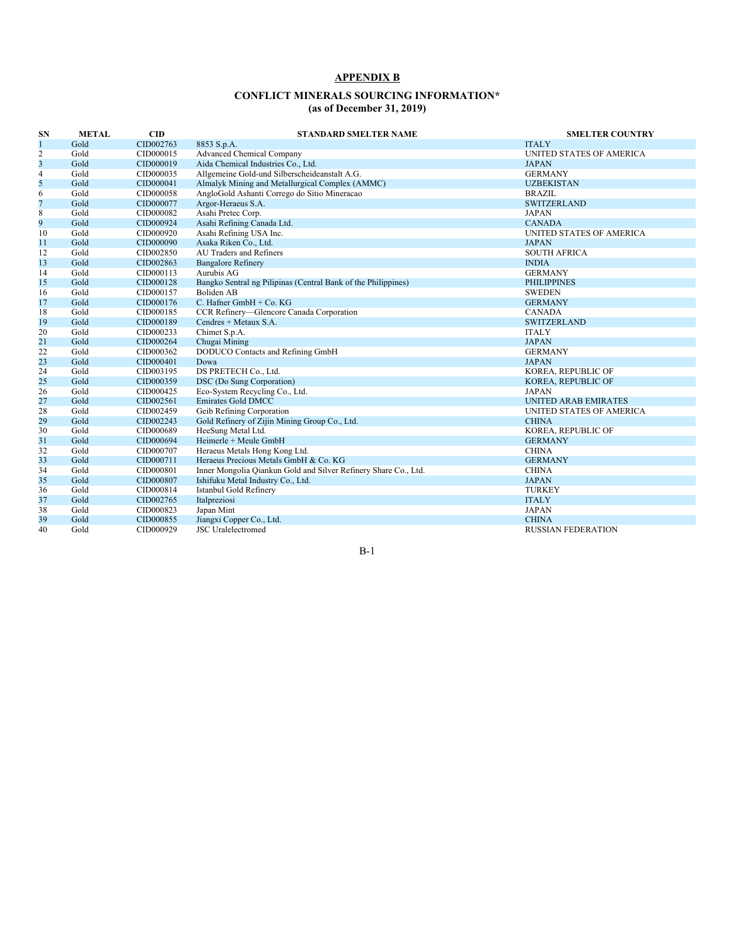## **APPENDIX B**

## **CONFLICT MINERALS SOURCING INFORMATION\* (as of December 31, 2019)**

| SN | <b>METAL</b> | $\mathbf{CID}$ | <b>STANDARD SMELTER NAME</b>                                    | <b>SMELTER COUNTRY</b>      |
|----|--------------|----------------|-----------------------------------------------------------------|-----------------------------|
|    | Gold         | CID002763      | 8853 S.p.A.                                                     | <b>ITALY</b>                |
| 2  | Gold         | CID000015      | <b>Advanced Chemical Company</b>                                | UNITED STATES OF AMERICA    |
| 3  | Gold         | CID000019      | Aida Chemical Industries Co., Ltd.                              | <b>JAPAN</b>                |
| 4  | Gold         | CID000035      | Allgemeine Gold-und Silberscheideanstalt A.G.                   | <b>GERMANY</b>              |
| 5  | Gold         | CID000041      | Almalyk Mining and Metallurgical Complex (AMMC)                 | <b>UZBEKISTAN</b>           |
| 6  | Gold         | CID000058      | AngloGold Ashanti Corrego do Sitio Mineracao                    | <b>BRAZIL</b>               |
| 7  | Gold         | CID000077      | Argor-Heraeus S.A.                                              | <b>SWITZERLAND</b>          |
| 8  | Gold         | CID000082      | Asahi Pretec Corp.                                              | <b>JAPAN</b>                |
| 9  | Gold         | CID000924      | Asahi Refining Canada Ltd.                                      | <b>CANADA</b>               |
| 10 | Gold         | CID000920      | Asahi Refining USA Inc.                                         | UNITED STATES OF AMERICA    |
| 11 | Gold         | CID000090      | Asaka Riken Co., Ltd.                                           | <b>JAPAN</b>                |
| 12 | Gold         | CID002850      | AU Traders and Refiners                                         | <b>SOUTH AFRICA</b>         |
| 13 | Gold         | CID002863      | <b>Bangalore Refinery</b>                                       | <b>INDIA</b>                |
| 14 | Gold         | CID000113      | Aurubis AG                                                      | <b>GERMANY</b>              |
| 15 | Gold         | CID000128      | Bangko Sentral ng Pilipinas (Central Bank of the Philippines)   | <b>PHILIPPINES</b>          |
| 16 | Gold         | CID000157      | <b>Boliden AB</b>                                               | <b>SWEDEN</b>               |
| 17 | Gold         | CID000176      | C. Hafner GmbH $+$ Co. KG                                       | <b>GERMANY</b>              |
| 18 | Gold         | CID000185      | CCR Refinery-Glencore Canada Corporation                        | <b>CANADA</b>               |
| 19 | Gold         | CID000189      | Cendres + Metaux S.A.                                           | <b>SWITZERLAND</b>          |
| 20 | Gold         | CID000233      | Chimet S.p.A.                                                   | <b>ITALY</b>                |
| 21 | Gold         | CID000264      | Chugai Mining                                                   | <b>JAPAN</b>                |
| 22 | Gold         | CID000362      | DODUCO Contacts and Refining GmbH                               | <b>GERMANY</b>              |
| 23 | Gold         | CID000401      | Dowa                                                            | <b>JAPAN</b>                |
| 24 | Gold         | CID003195      | DS PRETECH Co., Ltd.                                            | KOREA, REPUBLIC OF          |
| 25 | Gold         | CID000359      | DSC (Do Sung Corporation)                                       | KOREA, REPUBLIC OF          |
| 26 | Gold         | CID000425      | Eco-System Recycling Co., Ltd.                                  | <b>JAPAN</b>                |
| 27 | Gold         | CID002561      | <b>Emirates Gold DMCC</b>                                       | <b>UNITED ARAB EMIRATES</b> |
| 28 | Gold         | CID002459      | Geib Refining Corporation                                       | UNITED STATES OF AMERICA    |
| 29 | Gold         | CID002243      | Gold Refinery of Zijin Mining Group Co., Ltd.                   | <b>CHINA</b>                |
| 30 | Gold         | CID000689      | HeeSung Metal Ltd.                                              | KOREA, REPUBLIC OF          |
| 31 | Gold         | CID000694      | Heimerle + Meule GmbH                                           | <b>GERMANY</b>              |
| 32 | Gold         | CID000707      | Heraeus Metals Hong Kong Ltd.                                   | <b>CHINA</b>                |
| 33 | Gold         | CID000711      | Heraeus Precious Metals GmbH & Co. KG                           | <b>GERMANY</b>              |
| 34 | Gold         | CID000801      | Inner Mongolia Qiankun Gold and Silver Refinery Share Co., Ltd. | <b>CHINA</b>                |
| 35 | Gold         | CID000807      | Ishifuku Metal Industry Co., Ltd.                               | <b>JAPAN</b>                |
| 36 | Gold         | CID000814      | Istanbul Gold Refinery                                          | <b>TURKEY</b>               |
| 37 | Gold         | CID002765      | Italpreziosi                                                    | <b>ITALY</b>                |
| 38 | Gold         | CID000823      | Japan Mint                                                      | <b>JAPAN</b>                |
| 39 | Gold         | CID000855      | Jiangxi Copper Co., Ltd.                                        | <b>CHINA</b>                |
| 40 | Gold         | CID000929      | <b>JSC</b> Uralelectromed                                       | <b>RUSSIAN FEDERATION</b>   |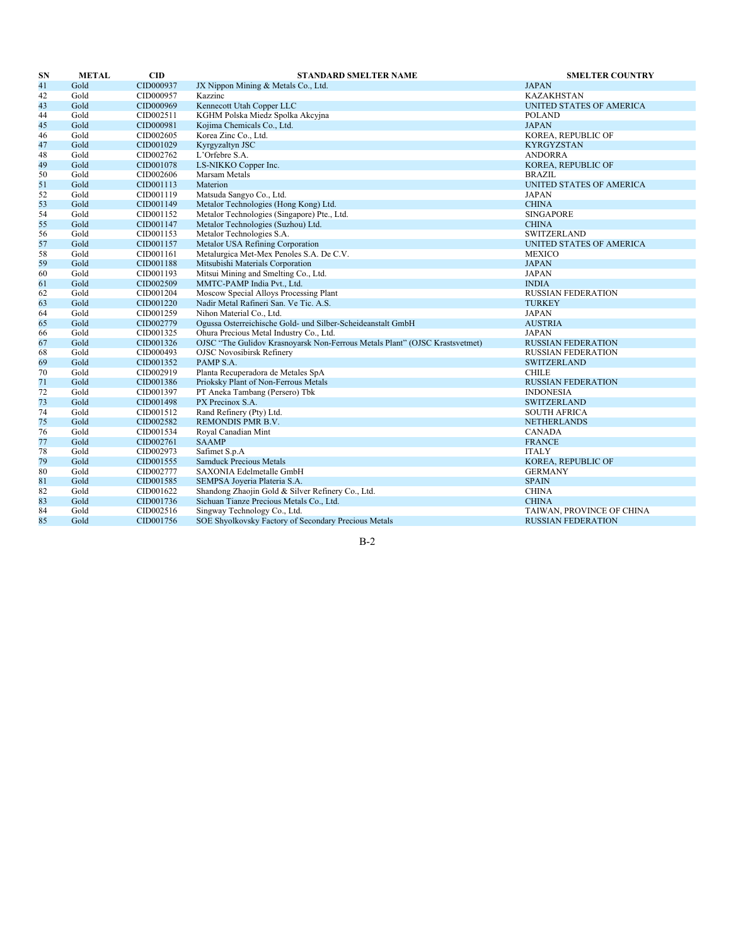| <b>SN</b> | <b>METAL</b> | $\mathbf{CID}$ | <b>STANDARD SMELTER NAME</b>                                                | <b>SMELTER COUNTRY</b>    |
|-----------|--------------|----------------|-----------------------------------------------------------------------------|---------------------------|
| 41        | Gold         | CID000937      | JX Nippon Mining & Metals Co., Ltd.                                         | <b>JAPAN</b>              |
| 42        | Gold         | CID000957      | Kazzinc                                                                     | <b>KAZAKHSTAN</b>         |
| 43        | Gold         | CID000969      | Kennecott Utah Copper LLC                                                   | UNITED STATES OF AMERICA  |
| 44        | Gold         | CID002511      | KGHM Polska Miedz Spolka Akcyjna                                            | <b>POLAND</b>             |
| 45        | Gold         | CID000981      | Kojima Chemicals Co., Ltd.                                                  | <b>JAPAN</b>              |
| 46        | Gold         | CID002605      | Korea Zinc Co., Ltd.                                                        | KOREA, REPUBLIC OF        |
| 47        | Gold         | CID001029      | Kyrgyzaltyn JSC                                                             | <b>KYRGYZSTAN</b>         |
| 48        | Gold         | CID002762      | L'Orfebre S.A.                                                              | <b>ANDORRA</b>            |
| 49        | Gold         | CID001078      | LS-NIKKO Copper Inc.                                                        | KOREA, REPUBLIC OF        |
| 50        | Gold         | CID002606      | Marsam Metals                                                               | <b>BRAZIL</b>             |
| 51        | Gold         | CID001113      | Materion                                                                    | UNITED STATES OF AMERICA  |
| 52        | Gold         | CID001119      | Matsuda Sangyo Co., Ltd.                                                    | <b>JAPAN</b>              |
| 53        | Gold         | CID001149      | Metalor Technologies (Hong Kong) Ltd.                                       | <b>CHINA</b>              |
| 54        | Gold         | CID001152      | Metalor Technologies (Singapore) Pte., Ltd.                                 | <b>SINGAPORE</b>          |
| 55        | Gold         | CID001147      | Metalor Technologies (Suzhou) Ltd.                                          | <b>CHINA</b>              |
| 56        | Gold         | CID001153      | Metalor Technologies S.A.                                                   | <b>SWITZERLAND</b>        |
| 57        | Gold         | CID001157      | Metalor USA Refining Corporation                                            | UNITED STATES OF AMERICA  |
| 58        | Gold         | CID001161      | Metalurgica Met-Mex Penoles S.A. De C.V.                                    | MEXICO                    |
| 59        | Gold         | CID001188      | Mitsubishi Materials Corporation                                            | <b>JAPAN</b>              |
| 60        | Gold         | CID001193      | Mitsui Mining and Smelting Co., Ltd.                                        | <b>JAPAN</b>              |
| 61        | Gold         | CID002509      | MMTC-PAMP India Pvt., Ltd.                                                  | <b>INDIA</b>              |
| 62        | Gold         | CID001204      | Moscow Special Alloys Processing Plant                                      | <b>RUSSIAN FEDERATION</b> |
| 63        | Gold         | CID001220      | Nadir Metal Rafineri San. Ve Tic. A.S.                                      | <b>TURKEY</b>             |
| 64        | Gold         | CID001259      | Nihon Material Co., Ltd.                                                    | <b>JAPAN</b>              |
| 65        | Gold         | CID002779      | Ogussa Osterreichische Gold- und Silber-Scheideanstalt GmbH                 | <b>AUSTRIA</b>            |
| 66        | Gold         | CID001325      | Ohura Precious Metal Industry Co., Ltd.                                     | <b>JAPAN</b>              |
| 67        | Gold         | CID001326      | OJSC "The Gulidov Krasnoyarsk Non-Ferrous Metals Plant" (OJSC Krastsvetmet) | <b>RUSSIAN FEDERATION</b> |
| 68        | Gold         | CID000493      | <b>OJSC Novosibirsk Refinery</b>                                            | <b>RUSSIAN FEDERATION</b> |
| 69        | Gold         | CID001352      | PAMP S.A.                                                                   | <b>SWITZERLAND</b>        |
| 70        | Gold         | CID002919      | Planta Recuperadora de Metales SpA                                          | <b>CHILE</b>              |
| 71        | Gold         | CID001386      | Prioksky Plant of Non-Ferrous Metals                                        | <b>RUSSIAN FEDERATION</b> |
| 72        | Gold         | CID001397      | PT Aneka Tambang (Persero) Tbk                                              | <b>INDONESIA</b>          |
| 73        | Gold         | CID001498      | PX Precinox S.A.                                                            | <b>SWITZERLAND</b>        |
| 74        | Gold         | CID001512      | Rand Refinery (Pty) Ltd.                                                    | <b>SOUTH AFRICA</b>       |
| 75        | Gold         | CID002582      | REMONDIS PMR B.V.                                                           | <b>NETHERLANDS</b>        |
| 76        | Gold         | CID001534      | Royal Canadian Mint                                                         | <b>CANADA</b>             |
| 77        | Gold         | CID002761      | <b>SAAMP</b>                                                                | <b>FRANCE</b>             |
| 78        | Gold         | CID002973      | Safimet S.p.A                                                               | <b>ITALY</b>              |
| 79        | Gold         | CID001555      | <b>Samduck Precious Metals</b>                                              | KOREA, REPUBLIC OF        |
| 80        | Gold         | CID002777      | SAXONIA Edelmetalle GmbH                                                    | <b>GERMANY</b>            |
| 81        | Gold         | CID001585      | SEMPSA Joyeria Plateria S.A.                                                | <b>SPAIN</b>              |
| 82        | Gold         | CID001622      | Shandong Zhaojin Gold & Silver Refinery Co., Ltd.                           | <b>CHINA</b>              |
| 83        | Gold         | CID001736      | Sichuan Tianze Precious Metals Co., Ltd.                                    | <b>CHINA</b>              |
| 84        | Gold         | CID002516      | Singway Technology Co., Ltd.                                                | TAIWAN, PROVINCE OF CHINA |
| 85        | Gold         | CID001756      | SOE Shyolkovsky Factory of Secondary Precious Metals                        | <b>RUSSIAN FEDERATION</b> |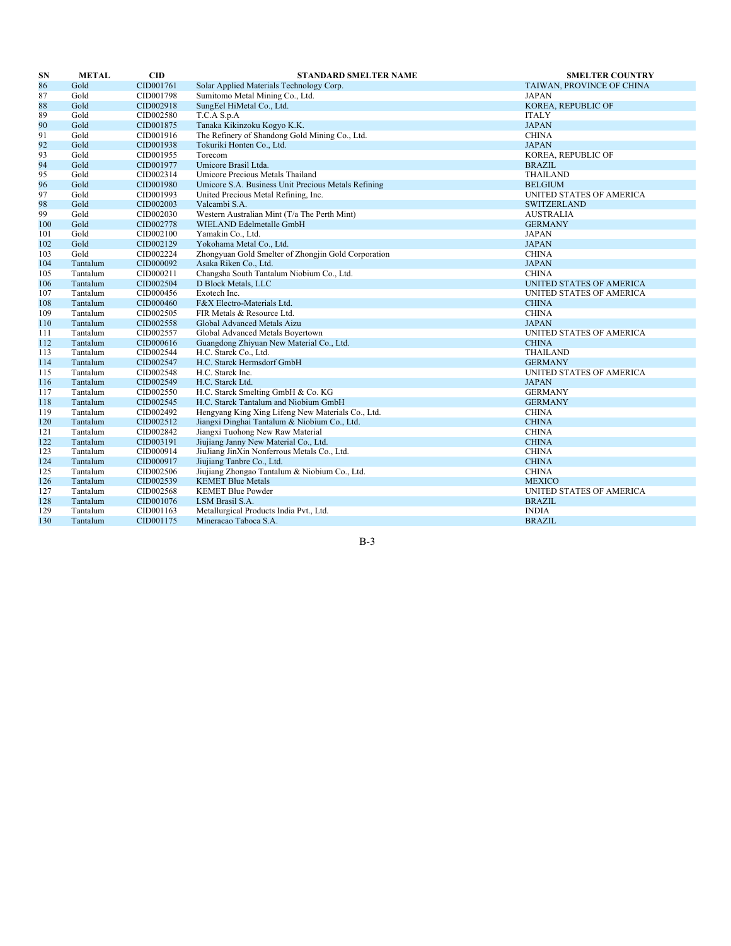| <b>SN</b> | <b>METAL</b> | $\mathbf{CID}$ | <b>STANDARD SMELTER NAME</b>                        | <b>SMELTER COUNTRY</b>    |
|-----------|--------------|----------------|-----------------------------------------------------|---------------------------|
| 86        | Gold         | CID001761      | Solar Applied Materials Technology Corp.            | TAIWAN, PROVINCE OF CHINA |
| 87        | Gold         | CID001798      | Sumitomo Metal Mining Co., Ltd.                     | <b>JAPAN</b>              |
| 88        | Gold         | CID002918      | SungEel HiMetal Co., Ltd.                           | KOREA, REPUBLIC OF        |
| 89        | Gold         | CID002580      | T.C.A S.p.A                                         | <b>ITALY</b>              |
| 90        | Gold         | CID001875      | Tanaka Kikinzoku Kogyo K.K.                         | <b>JAPAN</b>              |
| 91        | Gold         | CID001916      | The Refinery of Shandong Gold Mining Co., Ltd.      | <b>CHINA</b>              |
| 92        | Gold         | CID001938      | Tokuriki Honten Co., Ltd.                           | <b>JAPAN</b>              |
| 93        | Gold         | CID001955      | Torecom                                             | KOREA, REPUBLIC OF        |
| 94        | Gold         | CID001977      | Umicore Brasil Ltda.                                | <b>BRAZIL</b>             |
| 95        | Gold         | CID002314      | Umicore Precious Metals Thailand                    | THAILAND                  |
| 96        | Gold         | CID001980      | Umicore S.A. Business Unit Precious Metals Refining | <b>BELGIUM</b>            |
| 97        | Gold         | CID001993      | United Precious Metal Refining, Inc.                | UNITED STATES OF AMERICA  |
| 98        | Gold         | CID002003      | Valcambi S.A.                                       | <b>SWITZERLAND</b>        |
| 99        | Gold         | CID002030      | Western Australian Mint (T/a The Perth Mint)        | <b>AUSTRALIA</b>          |
| 100       | Gold         | CID002778      | WIELAND Edelmetalle GmbH                            | <b>GERMANY</b>            |
| 101       | Gold         | CID002100      | Yamakin Co., Ltd.                                   | <b>JAPAN</b>              |
| 102       | Gold         | CID002129      | Yokohama Metal Co., Ltd.                            | <b>JAPAN</b>              |
| 103       | Gold         | CID002224      | Zhongyuan Gold Smelter of Zhongjin Gold Corporation | <b>CHINA</b>              |
| 104       | Tantalum     | CID000092      | Asaka Riken Co., Ltd.                               | <b>JAPAN</b>              |
| 105       | Tantalum     | CID000211      | Changsha South Tantalum Niobium Co., Ltd.           | <b>CHINA</b>              |
| 106       | Tantalum     | CID002504      | D Block Metals, LLC                                 | UNITED STATES OF AMERICA  |
| 107       | Tantalum     | CID000456      | Exotech Inc.                                        | UNITED STATES OF AMERICA  |
| 108       | Tantalum     | CID000460      | F&X Electro-Materials Ltd.                          | <b>CHINA</b>              |
| 109       | Tantalum     | CID002505      | FIR Metals & Resource Ltd.                          | <b>CHINA</b>              |
| 110       | Tantalum     | CID002558      | Global Advanced Metals Aizu                         | <b>JAPAN</b>              |
| 111       | Tantalum     | CID002557      | Global Advanced Metals Boyertown                    | UNITED STATES OF AMERICA  |
| 112       | Tantalum     | CID000616      | Guangdong Zhiyuan New Material Co., Ltd.            | <b>CHINA</b>              |
| 113       | Tantalum     | CID002544      | H.C. Starck Co., Ltd.                               | THAILAND                  |
| 114       | Tantalum     | CID002547      | H.C. Starck Hermsdorf GmbH                          | <b>GERMANY</b>            |
| 115       | Tantalum     | CID002548      | H.C. Starck Inc.                                    | UNITED STATES OF AMERICA  |
| 116       | Tantalum     | CID002549      | H.C. Starck Ltd.                                    | <b>JAPAN</b>              |
| 117       | Tantalum     | CID002550      | H.C. Starck Smelting GmbH & Co. KG                  | <b>GERMANY</b>            |
| 118       | Tantalum     | CID002545      | H.C. Starck Tantalum and Niobium GmbH               | <b>GERMANY</b>            |
| 119       | Tantalum     | CID002492      | Hengyang King Xing Lifeng New Materials Co., Ltd.   | <b>CHINA</b>              |
| 120       | Tantalum     | CID002512      | Jiangxi Dinghai Tantalum & Niobium Co., Ltd.        | <b>CHINA</b>              |
| 121       | Tantalum     | CID002842      | Jiangxi Tuohong New Raw Material                    | <b>CHINA</b>              |
| 122       | Tantalum     | CID003191      | Jiujiang Janny New Material Co., Ltd.               | <b>CHINA</b>              |
| 123       | Tantalum     | CID000914      | JiuJiang JinXin Nonferrous Metals Co., Ltd.         | <b>CHINA</b>              |
| 124       | Tantalum     | CID000917      | Jiujiang Tanbre Co., Ltd.                           | <b>CHINA</b>              |
| 125       | Tantalum     | CID002506      | Jiujiang Zhongao Tantalum & Niobium Co., Ltd.       | <b>CHINA</b>              |
| 126       | Tantalum     | CID002539      | <b>KEMET Blue Metals</b>                            | <b>MEXICO</b>             |
| 127       | Tantalum     | CID002568      | <b>KEMET Blue Powder</b>                            | UNITED STATES OF AMERICA  |
| 128       | Tantalum     | CID001076      | LSM Brasil S.A.                                     | <b>BRAZIL</b>             |
| 129       | Tantalum     | CID001163      | Metallurgical Products India Pvt., Ltd.             | <b>INDIA</b>              |
| 130       | Tantalum     | CID001175      | Mineracao Taboca S.A.                               | <b>BRAZIL</b>             |
|           |              |                |                                                     |                           |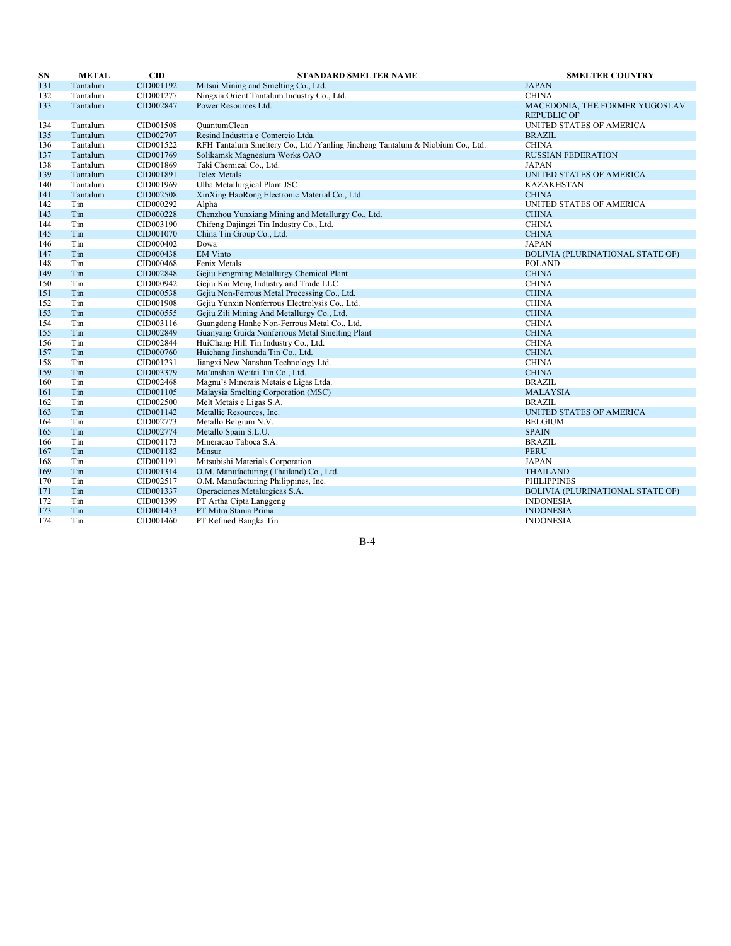| SN  | <b>METAL</b> | $\overline{\text{CID}}$ | <b>STANDARD SMELTER NAME</b>                                                  | <b>SMELTER COUNTRY</b>                               |
|-----|--------------|-------------------------|-------------------------------------------------------------------------------|------------------------------------------------------|
| 131 | Tantalum     | CID001192               | Mitsui Mining and Smelting Co., Ltd.                                          | <b>JAPAN</b>                                         |
| 132 | Tantalum     | CID001277               | Ningxia Orient Tantalum Industry Co., Ltd.                                    | <b>CHINA</b>                                         |
| 133 | Tantalum     | CID002847               | Power Resources Ltd.                                                          | MACEDONIA, THE FORMER YUGOSLAV<br><b>REPUBLIC OF</b> |
| 134 | Tantalum     | CID001508               | QuantumClean                                                                  | UNITED STATES OF AMERICA                             |
| 135 | Tantalum     | CID002707               | Resind Industria e Comercio Ltda.                                             | <b>BRAZIL</b>                                        |
| 136 | Tantalum     | CID001522               | RFH Tantalum Smeltery Co., Ltd./Yanling Jincheng Tantalum & Niobium Co., Ltd. | <b>CHINA</b>                                         |
| 137 | Tantalum     | CID001769               | Solikamsk Magnesium Works OAO                                                 | <b>RUSSIAN FEDERATION</b>                            |
| 138 | Tantalum     | CID001869               | Taki Chemical Co., Ltd.                                                       | <b>JAPAN</b>                                         |
| 139 | Tantalum     | CID001891               | <b>Telex Metals</b>                                                           | UNITED STATES OF AMERICA                             |
| 140 | Tantalum     | CID001969               | Ulba Metallurgical Plant JSC                                                  | <b>KAZAKHSTAN</b>                                    |
| 141 | Tantalum     | CID002508               | XinXing HaoRong Electronic Material Co., Ltd.                                 | <b>CHINA</b>                                         |
| 142 | Tin          | CID000292               | Alpha                                                                         | UNITED STATES OF AMERICA                             |
| 143 | Tin          | CID000228               | Chenzhou Yunxiang Mining and Metallurgy Co., Ltd.                             | <b>CHINA</b>                                         |
| 144 | Tin          | CID003190               | Chifeng Dajingzi Tin Industry Co., Ltd.                                       | <b>CHINA</b>                                         |
| 145 | Tin          | CID001070               | China Tin Group Co., Ltd.                                                     | <b>CHINA</b>                                         |
| 146 | Tin          | CID000402               | Dowa                                                                          | <b>JAPAN</b>                                         |
| 147 | Tin          | CID000438               | <b>EM Vinto</b>                                                               | <b>BOLIVIA (PLURINATIONAL STATE OF)</b>              |
| 148 | Tin          | CID000468               | Fenix Metals                                                                  | <b>POLAND</b>                                        |
| 149 | Tin          | CID002848               | Gejiu Fengming Metallurgy Chemical Plant                                      | <b>CHINA</b>                                         |
| 150 | Tin          | CID000942               | Gejiu Kai Meng Industry and Trade LLC                                         | <b>CHINA</b>                                         |
| 151 | Tin          | CID000538               | Gejiu Non-Ferrous Metal Processing Co., Ltd.                                  | <b>CHINA</b>                                         |
| 152 | Tin          | CID001908               | Gejiu Yunxin Nonferrous Electrolysis Co., Ltd.                                | <b>CHINA</b>                                         |
| 153 | Tin          | CID000555               | Gejiu Zili Mining And Metallurgy Co., Ltd.                                    | <b>CHINA</b>                                         |
| 154 | Tin          | CID003116               | Guangdong Hanhe Non-Ferrous Metal Co., Ltd.                                   | <b>CHINA</b>                                         |
| 155 | Tin          | CID002849               | Guanyang Guida Nonferrous Metal Smelting Plant                                | <b>CHINA</b>                                         |
| 156 | Tin          | CID002844               | HuiChang Hill Tin Industry Co., Ltd.                                          | <b>CHINA</b>                                         |
| 157 | Tin          | CID000760               | Huichang Jinshunda Tin Co., Ltd.                                              | <b>CHINA</b>                                         |
| 158 | Tin          | CID001231               | Jiangxi New Nanshan Technology Ltd.                                           | <b>CHINA</b>                                         |
| 159 | Tin          | CID003379               | Ma'anshan Weitai Tin Co., Ltd.                                                | <b>CHINA</b>                                         |
| 160 | Tin          | CID002468               | Magnu's Minerais Metais e Ligas Ltda.                                         | <b>BRAZIL</b>                                        |
| 161 | Tin          | CID001105               | Malaysia Smelting Corporation (MSC)                                           | <b>MALAYSIA</b>                                      |
| 162 | Tin          | CID002500               | Melt Metais e Ligas S.A.                                                      | <b>BRAZIL</b>                                        |
| 163 | Tin          | CID001142               | Metallic Resources, Inc.                                                      | UNITED STATES OF AMERICA                             |
| 164 | Tin          | CID002773               | Metallo Belgium N.V.                                                          | <b>BELGIUM</b>                                       |
| 165 | Tin          | CID002774               | Metallo Spain S.L.U.                                                          | <b>SPAIN</b>                                         |
| 166 | Tin          | CID001173               | Mineracao Taboca S.A.                                                         | <b>BRAZIL</b>                                        |
| 167 | Tin          | CID001182               | Minsur                                                                        | <b>PERU</b>                                          |
| 168 | Tin          | CID001191               | Mitsubishi Materials Corporation                                              | <b>JAPAN</b>                                         |
| 169 | Tin          | CID001314               | O.M. Manufacturing (Thailand) Co., Ltd.                                       | <b>THAILAND</b>                                      |
| 170 | Tin          | CID002517               | O.M. Manufacturing Philippines, Inc.                                          | PHILIPPINES                                          |
| 171 | Tin          | CID001337               | Operaciones Metalurgicas S.A.                                                 | <b>BOLIVIA (PLURINATIONAL STATE OF)</b>              |
| 172 | Tin          | CID001399               | PT Artha Cipta Langgeng                                                       | <b>INDONESIA</b>                                     |
| 173 | Tin          | CID001453               | PT Mitra Stania Prima                                                         | <b>INDONESIA</b>                                     |
| 174 | Tin          | CID001460               | PT Refined Bangka Tin                                                         | <b>INDONESIA</b>                                     |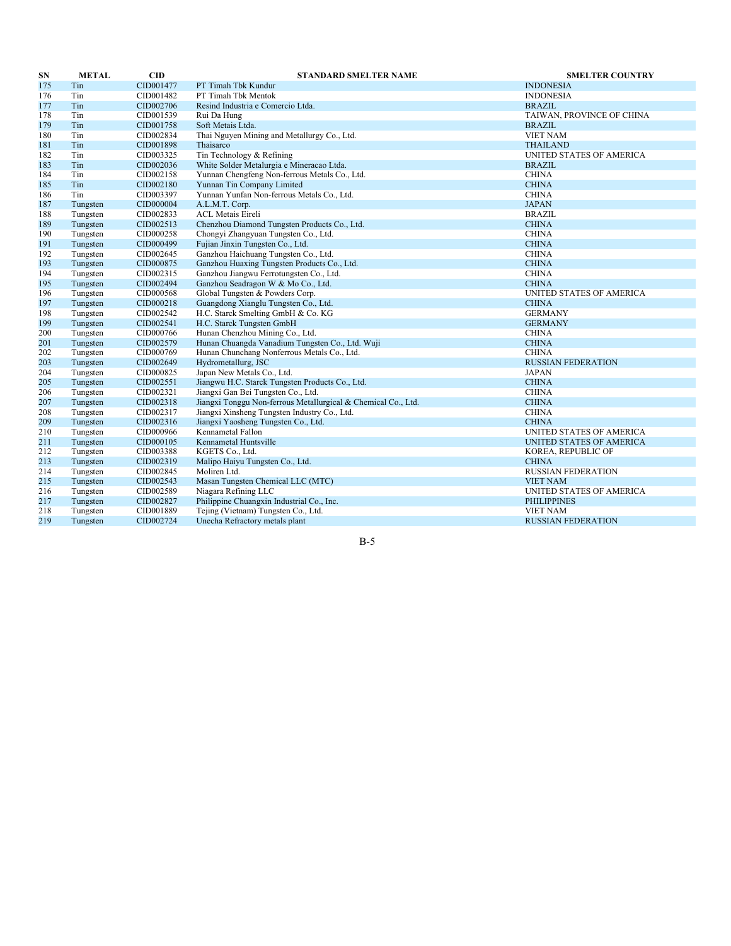| SN  | <b>METAL</b> | $\mathbf{CID}$ | <b>STANDARD SMELTER NAME</b>                                  | <b>SMELTER COUNTRY</b>    |
|-----|--------------|----------------|---------------------------------------------------------------|---------------------------|
| 175 | Tin          | CID001477      | PT Timah Tbk Kundur                                           | <b>INDONESIA</b>          |
| 176 | Tin          | CID001482      | PT Timah Tbk Mentok                                           | <b>INDONESIA</b>          |
| 177 | Tin          | CID002706      | Resind Industria e Comercio Ltda.                             | <b>BRAZIL</b>             |
| 178 | Tin          | CID001539      | Rui Da Hung                                                   | TAIWAN, PROVINCE OF CHINA |
| 179 | Tin          | CID001758      | Soft Metais Ltda.                                             | <b>BRAZIL</b>             |
| 180 | Tin          | CID002834      | Thai Nguyen Mining and Metallurgy Co., Ltd.                   | <b>VIET NAM</b>           |
| 181 | Tin          | CID001898      | Thaisarco                                                     | <b>THAILAND</b>           |
| 182 | Tin          | CID003325      | Tin Technology & Refining                                     | UNITED STATES OF AMERICA  |
| 183 | Tin          | CID002036      | White Solder Metalurgia e Mineracao Ltda.                     | <b>BRAZIL</b>             |
| 184 | Tin          | CID002158      | Yunnan Chengfeng Non-ferrous Metals Co., Ltd.                 | <b>CHINA</b>              |
| 185 | Tin          | CID002180      | Yunnan Tin Company Limited                                    | <b>CHINA</b>              |
| 186 | Tin          | CID003397      | Yunnan Yunfan Non-ferrous Metals Co., Ltd.                    | <b>CHINA</b>              |
| 187 | Tungsten     | CID000004      | A.L.M.T. Corp.                                                | <b>JAPAN</b>              |
| 188 | Tungsten     | CID002833      | <b>ACL Metais Eireli</b>                                      | <b>BRAZIL</b>             |
| 189 | Tungsten     | CID002513      | Chenzhou Diamond Tungsten Products Co., Ltd.                  | <b>CHINA</b>              |
| 190 | Tungsten     | CID000258      | Chongyi Zhangyuan Tungsten Co., Ltd.                          | <b>CHINA</b>              |
| 191 | Tungsten     | CID000499      | Fujian Jinxin Tungsten Co., Ltd.                              | <b>CHINA</b>              |
| 192 | Tungsten     | CID002645      | Ganzhou Haichuang Tungsten Co., Ltd.                          | <b>CHINA</b>              |
| 193 | Tungsten     | CID000875      | Ganzhou Huaxing Tungsten Products Co., Ltd.                   | <b>CHINA</b>              |
| 194 | Tungsten     | CID002315      | Ganzhou Jiangwu Ferrotungsten Co., Ltd.                       | <b>CHINA</b>              |
| 195 | Tungsten     | CID002494      | Ganzhou Seadragon W & Mo Co., Ltd.                            | <b>CHINA</b>              |
| 196 | Tungsten     | CID000568      | Global Tungsten & Powders Corp.                               | UNITED STATES OF AMERICA  |
| 197 | Tungsten     | CID000218      | Guangdong Xianglu Tungsten Co., Ltd.                          | <b>CHINA</b>              |
| 198 | Tungsten     | CID002542      | H.C. Starck Smelting GmbH & Co. KG                            | <b>GERMANY</b>            |
| 199 | Tungsten     | CID002541      | H.C. Starck Tungsten GmbH                                     | <b>GERMANY</b>            |
| 200 | Tungsten     | CID000766      | Hunan Chenzhou Mining Co., Ltd.                               | <b>CHINA</b>              |
| 201 | Tungsten     | CID002579      | Hunan Chuangda Vanadium Tungsten Co., Ltd. Wuji               | <b>CHINA</b>              |
| 202 | Tungsten     | CID000769      | Hunan Chunchang Nonferrous Metals Co., Ltd.                   | <b>CHINA</b>              |
| 203 | Tungsten     | CID002649      | Hydrometallurg, JSC                                           | <b>RUSSIAN FEDERATION</b> |
| 204 | Tungsten     | CID000825      | Japan New Metals Co., Ltd.                                    | <b>JAPAN</b>              |
| 205 | Tungsten     | CID002551      | Jiangwu H.C. Starck Tungsten Products Co., Ltd.               | <b>CHINA</b>              |
| 206 | Tungsten     | CID002321      | Jiangxi Gan Bei Tungsten Co., Ltd.                            | <b>CHINA</b>              |
| 207 | Tungsten     | CID002318      | Jiangxi Tonggu Non-ferrous Metallurgical & Chemical Co., Ltd. | <b>CHINA</b>              |
| 208 | Tungsten     | CID002317      | Jiangxi Xinsheng Tungsten Industry Co., Ltd.                  | <b>CHINA</b>              |
| 209 | Tungsten     | CID002316      | Jiangxi Yaosheng Tungsten Co., Ltd.                           | <b>CHINA</b>              |
| 210 | Tungsten     | CID000966      | Kennametal Fallon                                             | UNITED STATES OF AMERICA  |
| 211 | Tungsten     | CID000105      | Kennametal Huntsville                                         | UNITED STATES OF AMERICA  |
| 212 | Tungsten     | CID003388      | KGETS Co., Ltd.                                               | KOREA, REPUBLIC OF        |
| 213 | Tungsten     | CID002319      | Malipo Haiyu Tungsten Co., Ltd.                               | <b>CHINA</b>              |
| 214 | Tungsten     | CID002845      | Moliren Ltd.                                                  | RUSSIAN FEDERATION        |
| 215 | Tungsten     | CID002543      | Masan Tungsten Chemical LLC (MTC)                             | <b>VIET NAM</b>           |
| 216 | Tungsten     | CID002589      | Niagara Refining LLC                                          | UNITED STATES OF AMERICA  |
| 217 | Tungsten     | CID002827      | Philippine Chuangxin Industrial Co., Inc.                     | <b>PHILIPPINES</b>        |
| 218 | Tungsten     | CID001889      | Tejing (Vietnam) Tungsten Co., Ltd.                           | <b>VIET NAM</b>           |
| 219 | Tungsten     | CID002724      | Unecha Refractory metals plant                                | <b>RUSSIAN FEDERATION</b> |
|     |              |                |                                                               |                           |